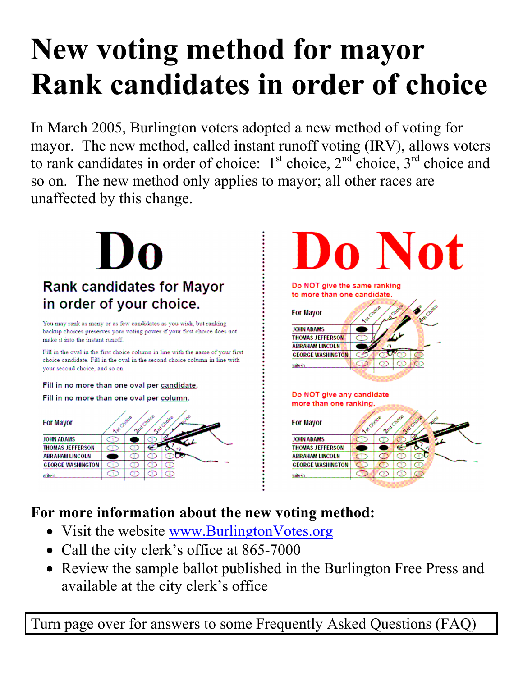## **ew voting method for mayor Rank candidates in order of choice**

In March 2005, Burlington voters adopted a new method of voting for mayor. The new method, called instant runoff voting (IRV), allows voters to rank candidates in order of choice:  $1<sup>st</sup>$  choice,  $2<sup>nd</sup>$  choice,  $3<sup>rd</sup>$  choice and so on. The new method only applies to mayor; all other races are unaffected by this change.

# **Rank candidates for Mayor** in order of your choice.

You may rank as many or as few candidates as you wish, but ranking backup choices preserves your voting power if your first choice does not make it into the instant runoff.

Fill in the oval in the first choice column in line with the name of your first choice candidate. Fill in the oval in the second choice column in line with your second choice, and so on.

Fill in no more than one oval per candidate.

Fill in no more than one oval per column.



# **O** Not

Do NOT give the same ranking to more than one candidate.

For Mayor **JOHN ADAMS THOMAS JEFFERSON ABRAHAM LINCOLN GEORGE WASHINGTON** ante ir

#### Do NOT give any candidate more than one ranking



### **For more information about the new voting method:**

- Visit the website www.BurlingtonVotes.org
- Call the city clerk's office at 865-7000
- Review the sample ballot published in the Burlington Free Press and available at the city clerk's office

Turn page over for answers to some Frequently Asked Questions (FAQ)